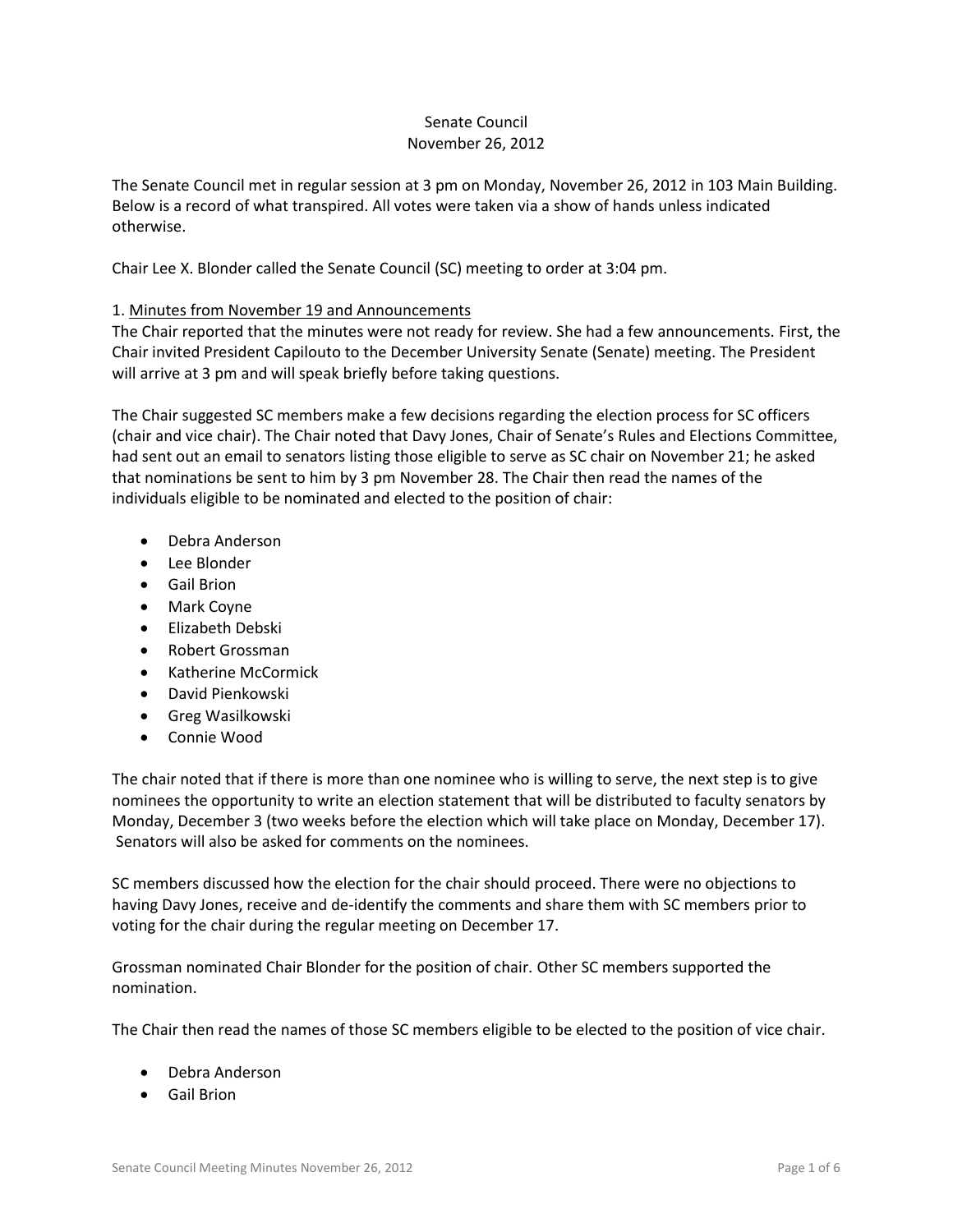### Senate Council November 26, 2012

The Senate Council met in regular session at 3 pm on Monday, November 26, 2012 in 103 Main Building. Below is a record of what transpired. All votes were taken via a show of hands unless indicated otherwise.

Chair Lee X. Blonder called the Senate Council (SC) meeting to order at 3:04 pm.

### 1. Minutes from November 19 and Announcements

The Chair reported that the minutes were not ready for review. She had a few announcements. First, the Chair invited President Capilouto to the December University Senate (Senate) meeting. The President will arrive at 3 pm and will speak briefly before taking questions.

The Chair suggested SC members make a few decisions regarding the election process for SC officers (chair and vice chair). The Chair noted that Davy Jones, Chair of Senate's Rules and Elections Committee, had sent out an email to senators listing those eligible to serve as SC chair on November 21; he asked that nominations be sent to him by 3 pm November 28. The Chair then read the names of the individuals eligible to be nominated and elected to the position of chair:

- Debra Anderson
- Lee Blonder
- Gail Brion
- Mark Coyne
- **•** Elizabeth Debski
- Robert Grossman
- Katherine McCormick
- David Pienkowski
- Greg Wasilkowski
- Connie Wood

The chair noted that if there is more than one nominee who is willing to serve, the next step is to give nominees the opportunity to write an election statement that will be distributed to faculty senators by Monday, December 3 (two weeks before the election which will take place on Monday, December 17). Senators will also be asked for comments on the nominees.

SC members discussed how the election for the chair should proceed. There were no objections to having Davy Jones, receive and de-identify the comments and share them with SC members prior to voting for the chair during the regular meeting on December 17.

Grossman nominated Chair Blonder for the position of chair. Other SC members supported the nomination.

The Chair then read the names of those SC members eligible to be elected to the position of vice chair.

- Debra Anderson
- Gail Brion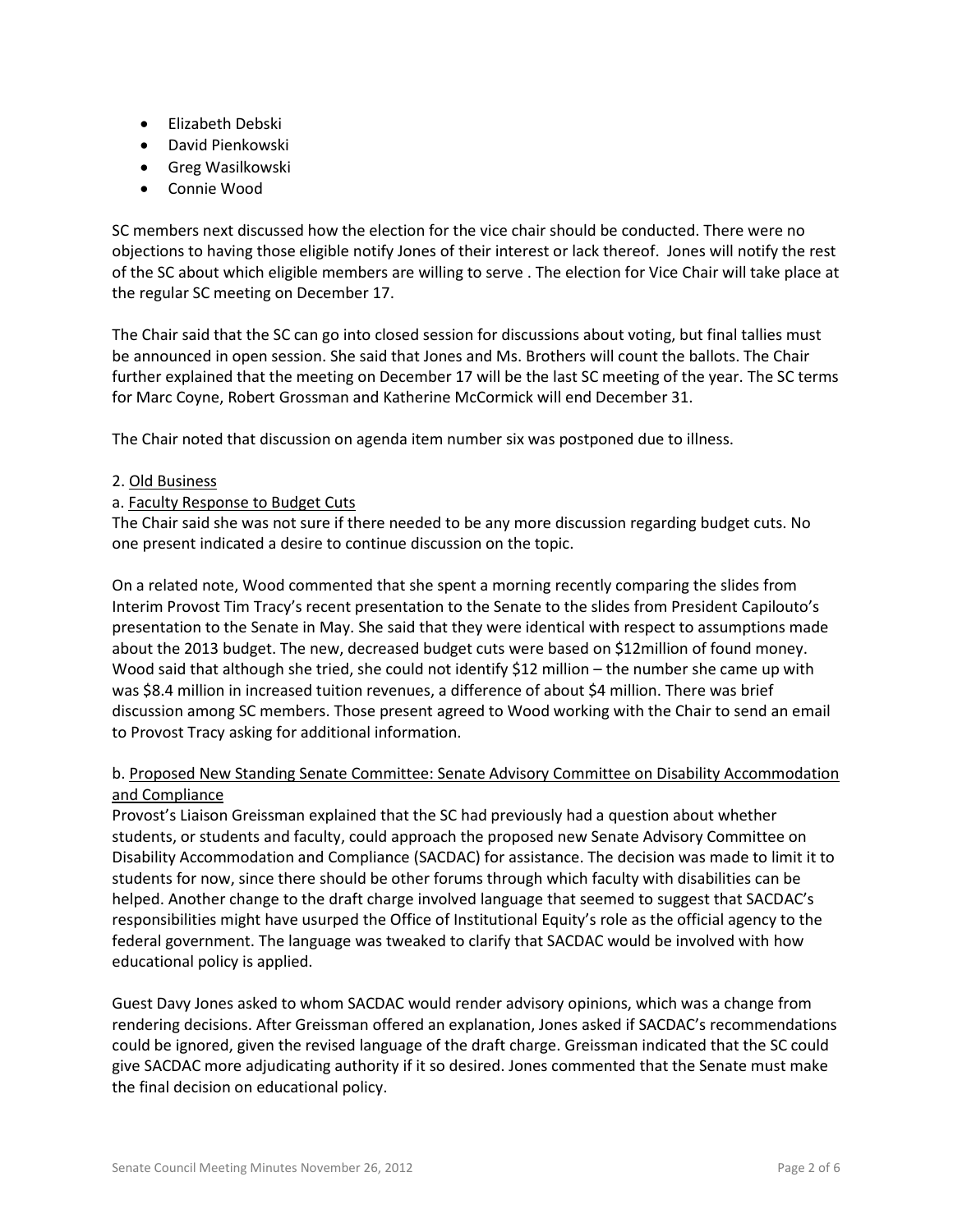- **•** Elizabeth Debski
- David Pienkowski
- **•** Greg Wasilkowski
- Connie Wood

SC members next discussed how the election for the vice chair should be conducted. There were no objections to having those eligible notify Jones of their interest or lack thereof. Jones will notify the rest of the SC about which eligible members are willing to serve . The election for Vice Chair will take place at the regular SC meeting on December 17.

The Chair said that the SC can go into closed session for discussions about voting, but final tallies must be announced in open session. She said that Jones and Ms. Brothers will count the ballots. The Chair further explained that the meeting on December 17 will be the last SC meeting of the year. The SC terms for Marc Coyne, Robert Grossman and Katherine McCormick will end December 31.

The Chair noted that discussion on agenda item number six was postponed due to illness.

## 2. Old Business

# a. Faculty Response to Budget Cuts

The Chair said she was not sure if there needed to be any more discussion regarding budget cuts. No one present indicated a desire to continue discussion on the topic.

On a related note, Wood commented that she spent a morning recently comparing the slides from Interim Provost Tim Tracy's recent presentation to the Senate to the slides from President Capilouto's presentation to the Senate in May. She said that they were identical with respect to assumptions made about the 2013 budget. The new, decreased budget cuts were based on \$12million of found money. Wood said that although she tried, she could not identify \$12 million – the number she came up with was \$8.4 million in increased tuition revenues, a difference of about \$4 million. There was brief discussion among SC members. Those present agreed to Wood working with the Chair to send an email to Provost Tracy asking for additional information.

# b. Proposed New Standing Senate Committee: Senate Advisory Committee on Disability Accommodation and Compliance

Provost's Liaison Greissman explained that the SC had previously had a question about whether students, or students and faculty, could approach the proposed new Senate Advisory Committee on Disability Accommodation and Compliance (SACDAC) for assistance. The decision was made to limit it to students for now, since there should be other forums through which faculty with disabilities can be helped. Another change to the draft charge involved language that seemed to suggest that SACDAC's responsibilities might have usurped the Office of Institutional Equity's role as the official agency to the federal government. The language was tweaked to clarify that SACDAC would be involved with how educational policy is applied.

Guest Davy Jones asked to whom SACDAC would render advisory opinions, which was a change from rendering decisions. After Greissman offered an explanation, Jones asked if SACDAC's recommendations could be ignored, given the revised language of the draft charge. Greissman indicated that the SC could give SACDAC more adjudicating authority if it so desired. Jones commented that the Senate must make the final decision on educational policy.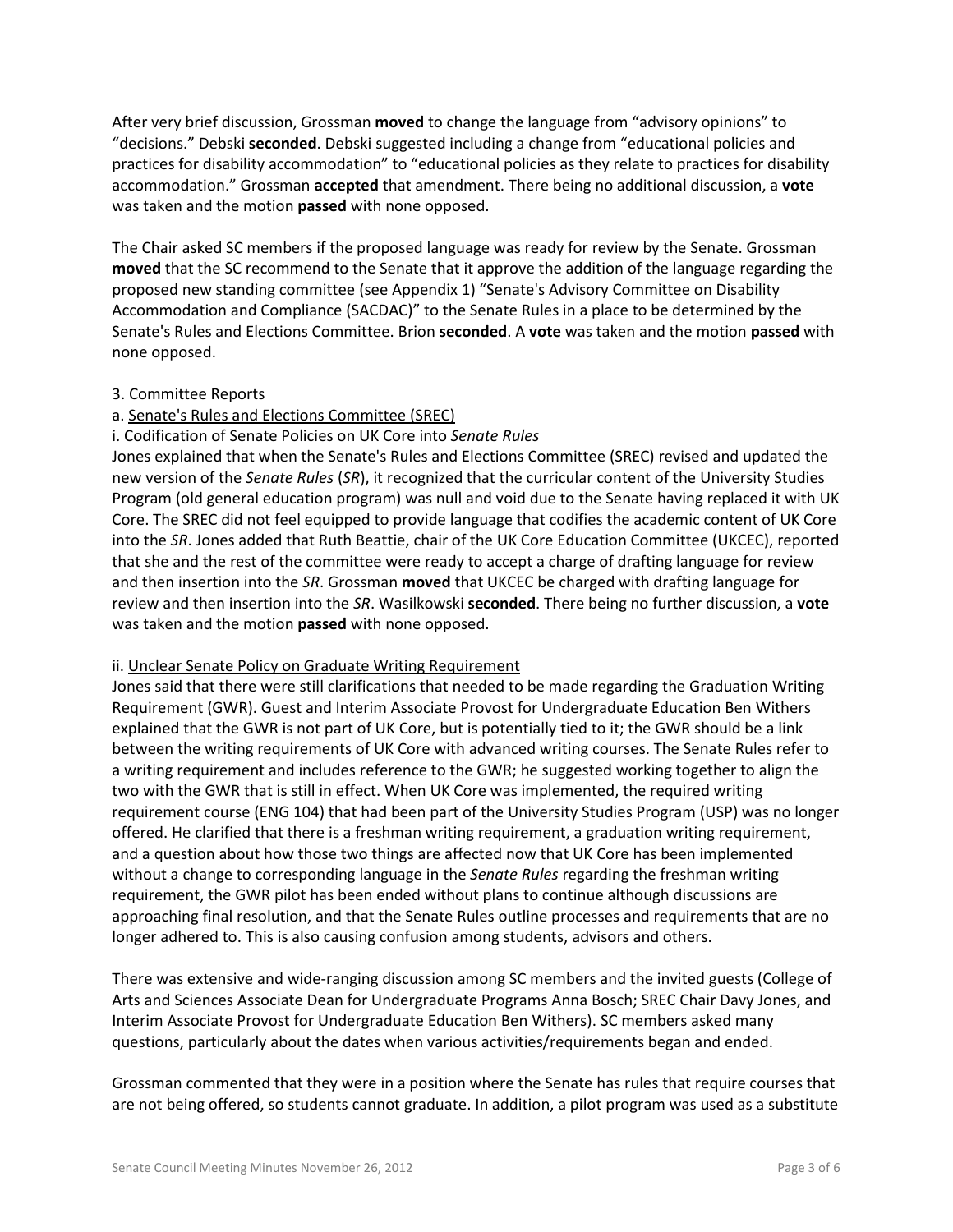After very brief discussion, Grossman **moved** to change the language from "advisory opinions" to "decisions." Debski **seconded**. Debski suggested including a change from "educational policies and practices for disability accommodation" to "educational policies as they relate to practices for disability accommodation." Grossman **accepted** that amendment. There being no additional discussion, a **vote** was taken and the motion **passed** with none opposed.

The Chair asked SC members if the proposed language was ready for review by the Senate. Grossman **moved** that the SC recommend to the Senate that it approve the addition of the language regarding the proposed new standing committee (see Appendix 1) "Senate's Advisory Committee on Disability Accommodation and Compliance (SACDAC)" to the Senate Rules in a place to be determined by the Senate's Rules and Elections Committee. Brion **seconded**. A **vote** was taken and the motion **passed** with none opposed.

## 3. Committee Reports

## a. Senate's Rules and Elections Committee (SREC)

## i. Codification of Senate Policies on UK Core into *Senate Rules*

Jones explained that when the Senate's Rules and Elections Committee (SREC) revised and updated the new version of the *Senate Rules* (*SR*), it recognized that the curricular content of the University Studies Program (old general education program) was null and void due to the Senate having replaced it with UK Core. The SREC did not feel equipped to provide language that codifies the academic content of UK Core into the *SR*. Jones added that Ruth Beattie, chair of the UK Core Education Committee (UKCEC), reported that she and the rest of the committee were ready to accept a charge of drafting language for review and then insertion into the *SR*. Grossman **moved** that UKCEC be charged with drafting language for review and then insertion into the *SR*. Wasilkowski **seconded**. There being no further discussion, a **vote** was taken and the motion **passed** with none opposed.

#### ii. Unclear Senate Policy on Graduate Writing Requirement

Jones said that there were still clarifications that needed to be made regarding the Graduation Writing Requirement (GWR). Guest and Interim Associate Provost for Undergraduate Education Ben Withers explained that the GWR is not part of UK Core, but is potentially tied to it; the GWR should be a link between the writing requirements of UK Core with advanced writing courses. The Senate Rules refer to a writing requirement and includes reference to the GWR; he suggested working together to align the two with the GWR that is still in effect. When UK Core was implemented, the required writing requirement course (ENG 104) that had been part of the University Studies Program (USP) was no longer offered. He clarified that there is a freshman writing requirement, a graduation writing requirement, and a question about how those two things are affected now that UK Core has been implemented without a change to corresponding language in the *Senate Rules* regarding the freshman writing requirement, the GWR pilot has been ended without plans to continue although discussions are approaching final resolution, and that the Senate Rules outline processes and requirements that are no longer adhered to. This is also causing confusion among students, advisors and others.

There was extensive and wide-ranging discussion among SC members and the invited guests (College of Arts and Sciences Associate Dean for Undergraduate Programs Anna Bosch; SREC Chair Davy Jones, and Interim Associate Provost for Undergraduate Education Ben Withers). SC members asked many questions, particularly about the dates when various activities/requirements began and ended.

Grossman commented that they were in a position where the Senate has rules that require courses that are not being offered, so students cannot graduate. In addition, a pilot program was used as a substitute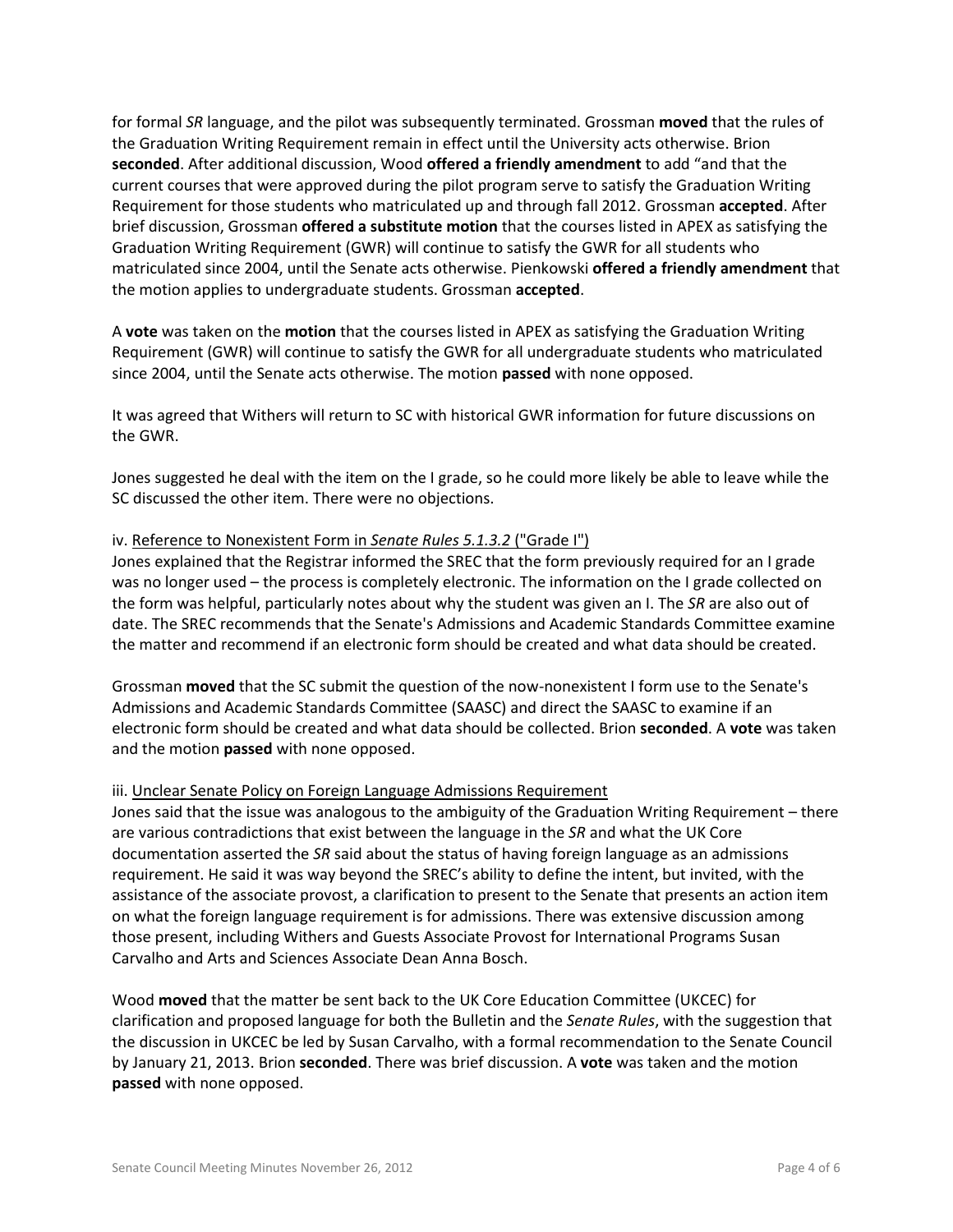for formal *SR* language, and the pilot was subsequently terminated. Grossman **moved** that the rules of the Graduation Writing Requirement remain in effect until the University acts otherwise. Brion **seconded**. After additional discussion, Wood **offered a friendly amendment** to add "and that the current courses that were approved during the pilot program serve to satisfy the Graduation Writing Requirement for those students who matriculated up and through fall 2012. Grossman **accepted**. After brief discussion, Grossman **offered a substitute motion** that the courses listed in APEX as satisfying the Graduation Writing Requirement (GWR) will continue to satisfy the GWR for all students who matriculated since 2004, until the Senate acts otherwise. Pienkowski **offered a friendly amendment** that the motion applies to undergraduate students. Grossman **accepted**.

A **vote** was taken on the **motion** that the courses listed in APEX as satisfying the Graduation Writing Requirement (GWR) will continue to satisfy the GWR for all undergraduate students who matriculated since 2004, until the Senate acts otherwise. The motion **passed** with none opposed.

It was agreed that Withers will return to SC with historical GWR information for future discussions on the GWR.

Jones suggested he deal with the item on the I grade, so he could more likely be able to leave while the SC discussed the other item. There were no objections.

### iv. Reference to Nonexistent Form in *Senate Rules 5.1.3.2* ("Grade I")

Jones explained that the Registrar informed the SREC that the form previously required for an I grade was no longer used – the process is completely electronic. The information on the I grade collected on the form was helpful, particularly notes about why the student was given an I. The *SR* are also out of date. The SREC recommends that the Senate's Admissions and Academic Standards Committee examine the matter and recommend if an electronic form should be created and what data should be created.

Grossman **moved** that the SC submit the question of the now-nonexistent I form use to the Senate's Admissions and Academic Standards Committee (SAASC) and direct the SAASC to examine if an electronic form should be created and what data should be collected. Brion **seconded**. A **vote** was taken and the motion **passed** with none opposed.

#### iii. Unclear Senate Policy on Foreign Language Admissions Requirement

Jones said that the issue was analogous to the ambiguity of the Graduation Writing Requirement – there are various contradictions that exist between the language in the *SR* and what the UK Core documentation asserted the *SR* said about the status of having foreign language as an admissions requirement. He said it was way beyond the SREC's ability to define the intent, but invited, with the assistance of the associate provost, a clarification to present to the Senate that presents an action item on what the foreign language requirement is for admissions. There was extensive discussion among those present, including Withers and Guests Associate Provost for International Programs Susan Carvalho and Arts and Sciences Associate Dean Anna Bosch.

Wood **moved** that the matter be sent back to the UK Core Education Committee (UKCEC) for clarification and proposed language for both the Bulletin and the *Senate Rules*, with the suggestion that the discussion in UKCEC be led by Susan Carvalho, with a formal recommendation to the Senate Council by January 21, 2013. Brion **seconded**. There was brief discussion. A **vote** was taken and the motion **passed** with none opposed.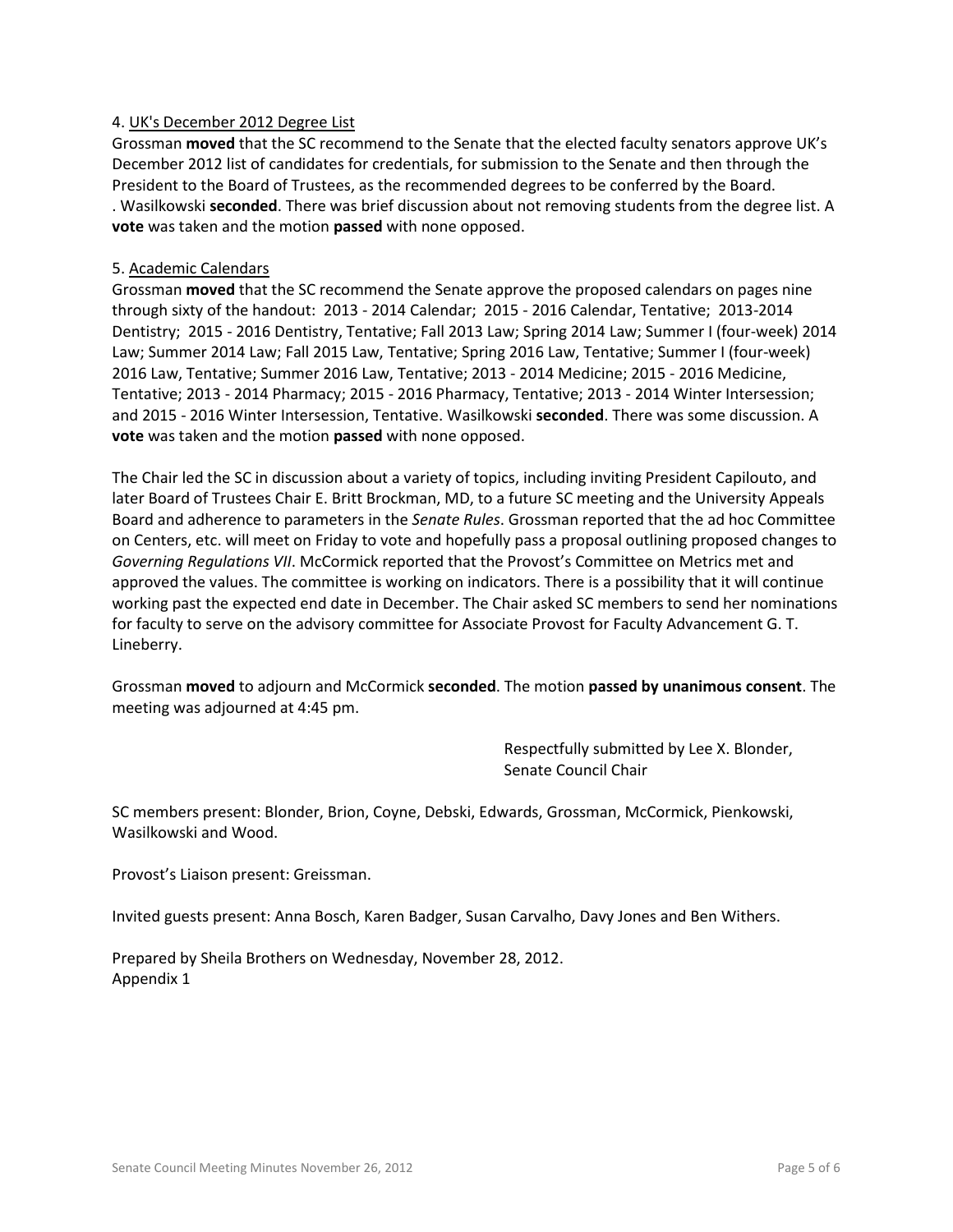### 4. UK's December 2012 Degree List

Grossman **moved** that the SC recommend to the Senate that the elected faculty senators approve UK's December 2012 list of candidates for credentials, for submission to the Senate and then through the President to the Board of Trustees, as the recommended degrees to be conferred by the Board. . Wasilkowski **seconded**. There was brief discussion about not removing students from the degree list. A **vote** was taken and the motion **passed** with none opposed.

### 5. Academic Calendars

Grossman **moved** that the SC recommend the Senate approve the proposed calendars on pages nine through sixty of the handout: 2013 - 2014 Calendar; 2015 - 2016 Calendar, Tentative; 2013-2014 Dentistry; 2015 - 2016 Dentistry, Tentative; Fall 2013 Law; Spring 2014 Law; Summer I (four-week) 2014 Law; Summer 2014 Law; Fall 2015 Law, Tentative; Spring 2016 Law, Tentative; Summer I (four-week) 2016 Law, Tentative; Summer 2016 Law, Tentative; 2013 - 2014 Medicine; 2015 - 2016 Medicine, Tentative; 2013 - 2014 Pharmacy; 2015 - 2016 Pharmacy, Tentative; 2013 - 2014 Winter Intersession; and 2015 - 2016 Winter Intersession, Tentative. Wasilkowski **seconded**. There was some discussion. A **vote** was taken and the motion **passed** with none opposed.

The Chair led the SC in discussion about a variety of topics, including inviting President Capilouto, and later Board of Trustees Chair E. Britt Brockman, MD, to a future SC meeting and the University Appeals Board and adherence to parameters in the *Senate Rules*. Grossman reported that the ad hoc Committee on Centers, etc. will meet on Friday to vote and hopefully pass a proposal outlining proposed changes to *Governing Regulations VII*. McCormick reported that the Provost's Committee on Metrics met and approved the values. The committee is working on indicators. There is a possibility that it will continue working past the expected end date in December. The Chair asked SC members to send her nominations for faculty to serve on the advisory committee for Associate Provost for Faculty Advancement G. T. Lineberry.

Grossman **moved** to adjourn and McCormick **seconded**. The motion **passed by unanimous consent**. The meeting was adjourned at 4:45 pm.

> Respectfully submitted by Lee X. Blonder, Senate Council Chair

SC members present: Blonder, Brion, Coyne, Debski, Edwards, Grossman, McCormick, Pienkowski, Wasilkowski and Wood.

Provost's Liaison present: Greissman.

Invited guests present: Anna Bosch, Karen Badger, Susan Carvalho, Davy Jones and Ben Withers.

Prepared by Sheila Brothers on Wednesday, November 28, 2012. Appendix 1